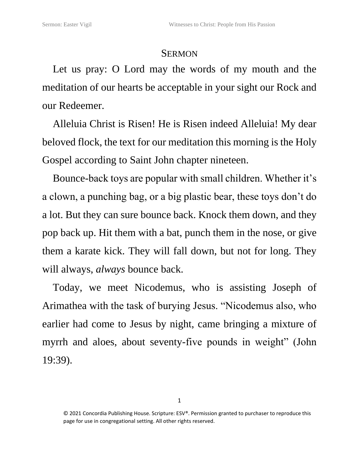## **SERMON**

Let us pray: O Lord may the words of my mouth and the meditation of our hearts be acceptable in your sight our Rock and our Redeemer.

Alleluia Christ is Risen! He is Risen indeed Alleluia! My dear beloved flock, the text for our meditation this morning is the Holy Gospel according to Saint John chapter nineteen.

Bounce-back toys are popular with small children. Whether it's a clown, a punching bag, or a big plastic bear, these toys don't do a lot. But they can sure bounce back. Knock them down, and they pop back up. Hit them with a bat, punch them in the nose, or give them a karate kick. They will fall down, but not for long. They will always, *always* bounce back.

Today, we meet Nicodemus, who is assisting Joseph of Arimathea with the task of burying Jesus. "Nicodemus also, who earlier had come to Jesus by night, came bringing a mixture of myrrh and aloes, about seventy-five pounds in weight" (John 19:39).

<sup>© 2021</sup> Concordia Publishing House. Scripture: ESV®. Permission granted to purchaser to reproduce this page for use in congregational setting. All other rights reserved.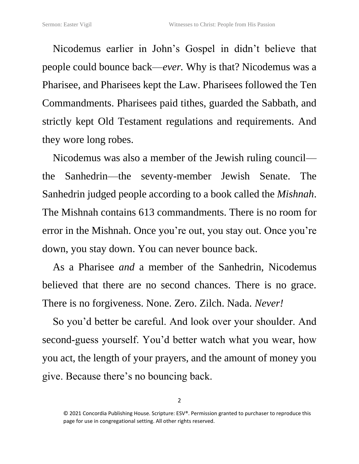Nicodemus earlier in John's Gospel in didn't believe that people could bounce back—*ever.* Why is that? Nicodemus was a Pharisee, and Pharisees kept the Law. Pharisees followed the Ten Commandments. Pharisees paid tithes, guarded the Sabbath, and strictly kept Old Testament regulations and requirements. And they wore long robes.

Nicodemus was also a member of the Jewish ruling council the Sanhedrin—the seventy-member Jewish Senate. The Sanhedrin judged people according to a book called the *Mishnah*. The Mishnah contains 613 commandments. There is no room for error in the Mishnah. Once you're out, you stay out. Once you're down, you stay down. You can never bounce back.

As a Pharisee *and* a member of the Sanhedrin, Nicodemus believed that there are no second chances. There is no grace. There is no forgiveness. None. Zero. Zilch. Nada. *Never!*

So you'd better be careful. And look over your shoulder. And second-guess yourself. You'd better watch what you wear, how you act, the length of your prayers, and the amount of money you give. Because there's no bouncing back.

<sup>© 2021</sup> Concordia Publishing House. Scripture: ESV®. Permission granted to purchaser to reproduce this page for use in congregational setting. All other rights reserved.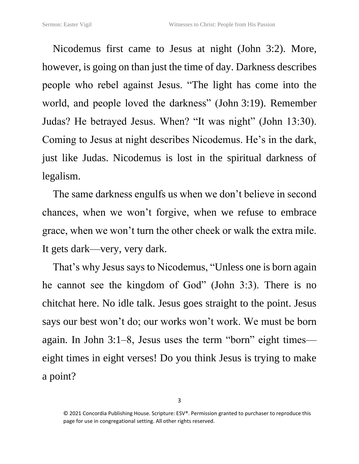Nicodemus first came to Jesus at night (John 3:2). More, however, is going on than just the time of day. Darkness describes people who rebel against Jesus. "The light has come into the world, and people loved the darkness" (John 3:19). Remember Judas? He betrayed Jesus. When? "It was night" (John 13:30). Coming to Jesus at night describes Nicodemus. He's in the dark, just like Judas. Nicodemus is lost in the spiritual darkness of legalism.

The same darkness engulfs us when we don't believe in second chances, when we won't forgive, when we refuse to embrace grace, when we won't turn the other cheek or walk the extra mile. It gets dark—very, very dark.

That's why Jesus says to Nicodemus, "Unless one is born again he cannot see the kingdom of God" (John 3:3). There is no chitchat here. No idle talk. Jesus goes straight to the point. Jesus says our best won't do; our works won't work. We must be born again. In John 3:1–8, Jesus uses the term "born" eight times eight times in eight verses! Do you think Jesus is trying to make a point?

<sup>© 2021</sup> Concordia Publishing House. Scripture: ESV®. Permission granted to purchaser to reproduce this page for use in congregational setting. All other rights reserved.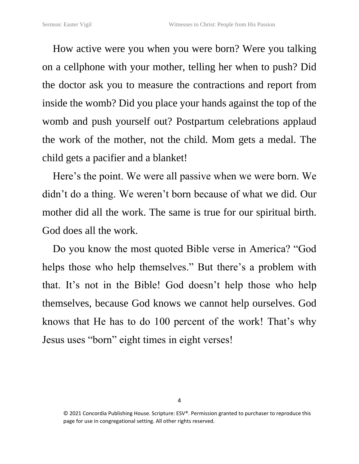How active were you when you were born? Were you talking on a cellphone with your mother, telling her when to push? Did the doctor ask you to measure the contractions and report from inside the womb? Did you place your hands against the top of the womb and push yourself out? Postpartum celebrations applaud the work of the mother, not the child. Mom gets a medal. The child gets a pacifier and a blanket!

Here's the point. We were all passive when we were born. We didn't do a thing. We weren't born because of what we did. Our mother did all the work. The same is true for our spiritual birth. God does all the work.

Do you know the most quoted Bible verse in America? "God helps those who help themselves." But there's a problem with that. It's not in the Bible! God doesn't help those who help themselves, because God knows we cannot help ourselves. God knows that He has to do 100 percent of the work! That's why Jesus uses "born" eight times in eight verses!

<sup>© 2021</sup> Concordia Publishing House. Scripture: ESV®. Permission granted to purchaser to reproduce this page for use in congregational setting. All other rights reserved.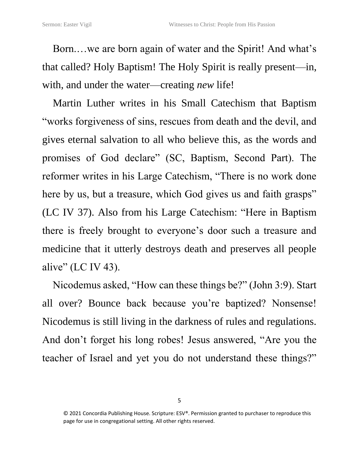Born.…we are born again of water and the Spirit! And what's that called? Holy Baptism! The Holy Spirit is really present—in, with, and under the water—creating *new* life!

Martin Luther writes in his Small Catechism that Baptism "works forgiveness of sins, rescues from death and the devil, and gives eternal salvation to all who believe this, as the words and promises of God declare" (SC, Baptism, Second Part). The reformer writes in his Large Catechism, "There is no work done here by us, but a treasure, which God gives us and faith grasps" (LC IV 37). Also from his Large Catechism: "Here in Baptism there is freely brought to everyone's door such a treasure and medicine that it utterly destroys death and preserves all people alive" (LC IV 43).

Nicodemus asked, "How can these things be?" (John 3:9). Start all over? Bounce back because you're baptized? Nonsense! Nicodemus is still living in the darkness of rules and regulations. And don't forget his long robes! Jesus answered, "Are you the teacher of Israel and yet you do not understand these things?"

<sup>© 2021</sup> Concordia Publishing House. Scripture: ESV®. Permission granted to purchaser to reproduce this page for use in congregational setting. All other rights reserved.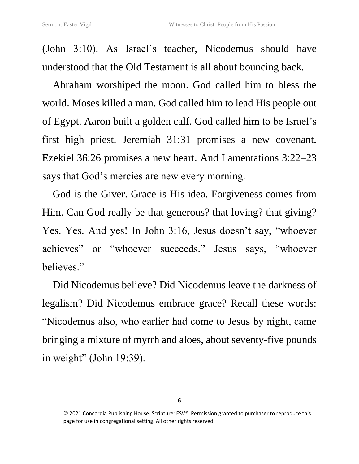(John 3:10). As Israel's teacher, Nicodemus should have understood that the Old Testament is all about bouncing back.

Abraham worshiped the moon. God called him to bless the world. Moses killed a man. God called him to lead His people out of Egypt. Aaron built a golden calf. God called him to be Israel's first high priest. Jeremiah 31:31 promises a new covenant. Ezekiel 36:26 promises a new heart. And Lamentations 3:22–23 says that God's mercies are new every morning.

God is the Giver. Grace is His idea. Forgiveness comes from Him. Can God really be that generous? that loving? that giving? Yes. Yes. And yes! In John 3:16, Jesus doesn't say, "whoever achieves" or "whoever succeeds." Jesus says, "whoever believes."

Did Nicodemus believe? Did Nicodemus leave the darkness of legalism? Did Nicodemus embrace grace? Recall these words: "Nicodemus also, who earlier had come to Jesus by night, came bringing a mixture of myrrh and aloes, about seventy-five pounds in weight" (John 19:39).

<sup>© 2021</sup> Concordia Publishing House. Scripture: ESV®. Permission granted to purchaser to reproduce this page for use in congregational setting. All other rights reserved.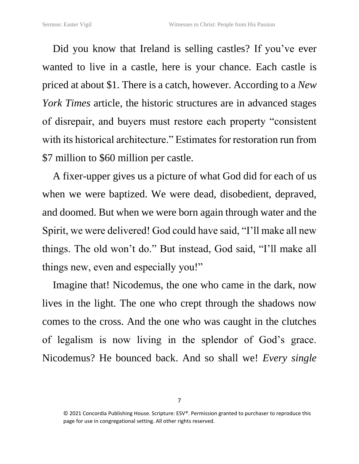Did you know that Ireland is selling castles? If you've ever wanted to live in a castle, here is your chance. Each castle is priced at about \$1. There is a catch, however. According to a *New York Times* article, the historic structures are in advanced stages of disrepair, and buyers must restore each property "consistent with its historical architecture." Estimates for restoration run from \$7 million to \$60 million per castle.

A fixer-upper gives us a picture of what God did for each of us when we were baptized. We were dead, disobedient, depraved, and doomed. But when we were born again through water and the Spirit, we were delivered! God could have said, "I'll make all new things. The old won't do." But instead, God said, "I'll make all things new, even and especially you!"

Imagine that! Nicodemus, the one who came in the dark, now lives in the light. The one who crept through the shadows now comes to the cross. And the one who was caught in the clutches of legalism is now living in the splendor of God's grace. Nicodemus? He bounced back. And so shall we! *Every single* 

<sup>© 2021</sup> Concordia Publishing House. Scripture: ESV®. Permission granted to purchaser to reproduce this page for use in congregational setting. All other rights reserved.